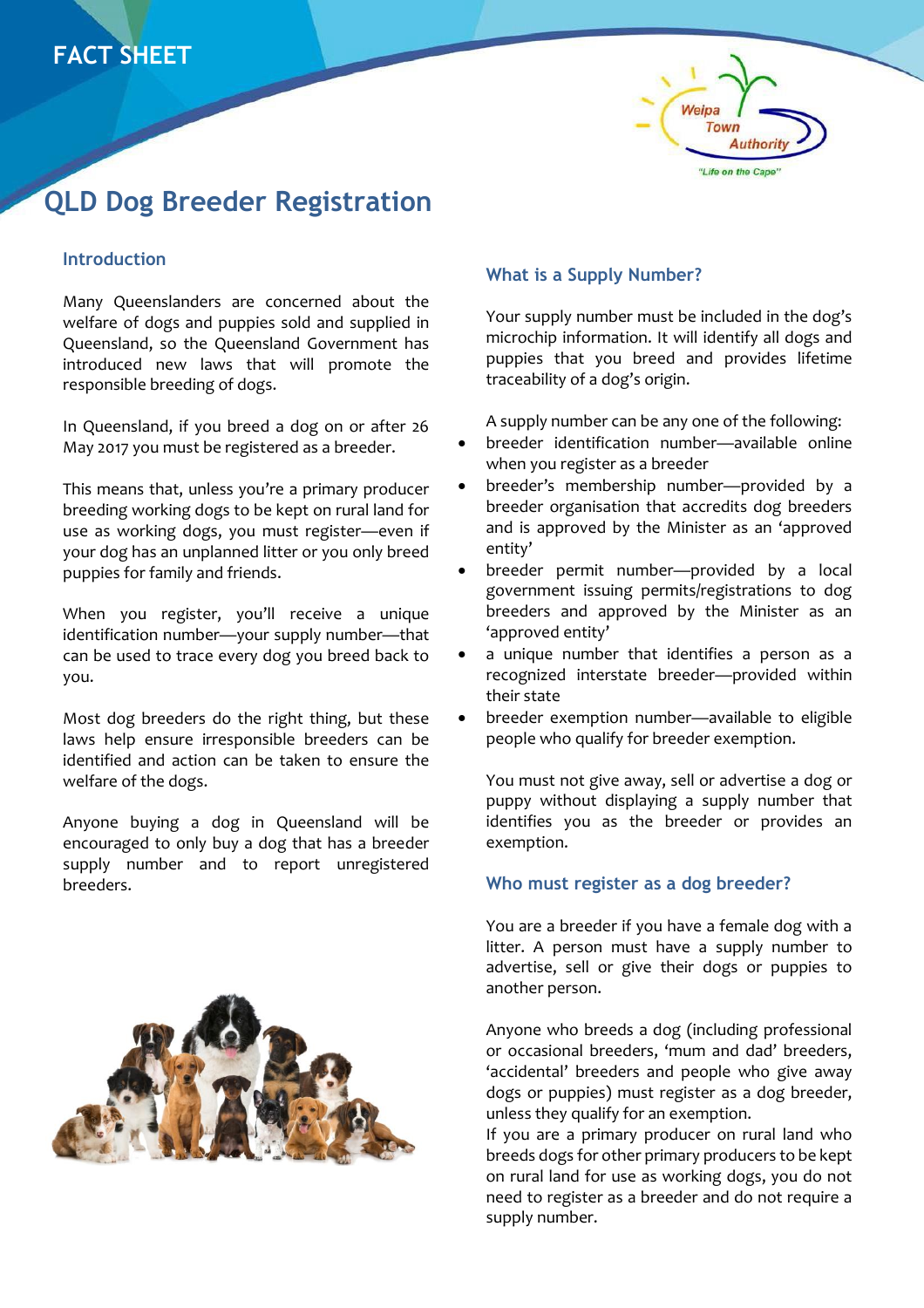



# **QLD Dog Breeder Registration**

## **Introduction**

Many Queenslanders are concerned about the welfare of dogs and puppies sold and supplied in Queensland, so the Queensland Government has introduced new laws that will promote the responsible breeding of dogs.

In Queensland, if you breed a dog on or after 26 May 2017 you must be registered as a breeder.

This means that, unless you're a primary producer breeding working dogs to be kept on rural land for use as working dogs, you must register—even if your dog has an unplanned litter or you only breed puppies for family and friends.

When you register, you'll receive a unique identification number—your supply number—that can be used to trace every dog you breed back to you.

Most dog breeders do the right thing, but these laws help ensure irresponsible breeders can be identified and action can be taken to ensure the welfare of the dogs.

Anyone buying a dog in Queensland will be encouraged to only buy a dog that has a breeder supply number and to report unregistered breeders.



# **What is a Supply Number?**

Your supply number must be included in the dog's microchip information. It will identify all dogs and puppies that you breed and provides lifetime traceability of a dog's origin.

A supply number can be any one of the following:

- breeder identification number—available online when you register as a breeder
- breeder's membership number—provided by a breeder organisation that accredits dog breeders and is approved by the Minister as an 'approved entity'
- breeder permit number—provided by a local government issuing permits/registrations to dog breeders and approved by the Minister as an 'approved entity'
- a unique number that identifies a person as a recognized interstate breeder—provided within their state
- breeder exemption number—available to eligible people who qualify for breeder exemption.

You must not give away, sell or advertise a dog or puppy without displaying a supply number that identifies you as the breeder or provides an exemption.

#### **Who must register as a dog breeder?**

You are a breeder if you have a female dog with a litter. A person must have a supply number to advertise, sell or give their dogs or puppies to another person.

Anyone who breeds a dog (including professional or occasional breeders, 'mum and dad' breeders, 'accidental' breeders and people who give away dogs or puppies) must register as a dog breeder, unless they qualify for an exemption.

If you are a primary producer on rural land who breeds dogs for other primary producers to be kept on rural land for use as working dogs, you do not need to register as a breeder and do not require a supply number.